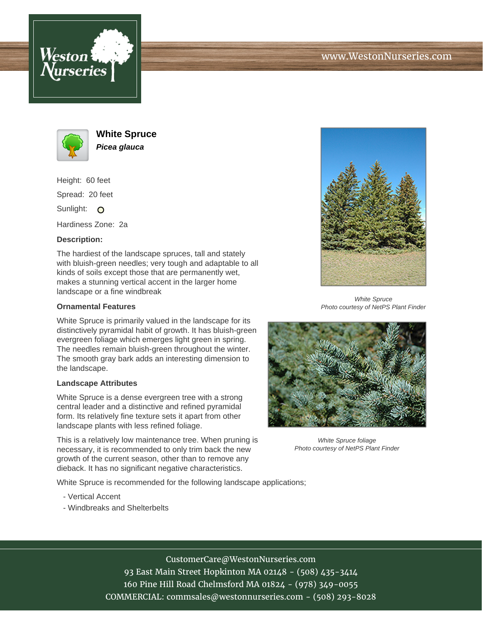





**White Spruce Picea glauca**

Height: 60 feet Spread: 20 feet Sunlight: O

Hardiness Zone: 2a

## **Description:**

The hardiest of the landscape spruces, tall and stately with bluish-green needles; very tough and adaptable to all kinds of soils except those that are permanently wet, makes a stunning vertical accent in the larger home landscape or a fine windbreak

## **Ornamental Features**

White Spruce is primarily valued in the landscape for its distinctively pyramidal habit of growth. It has bluish-green evergreen foliage which emerges light green in spring. The needles remain bluish-green throughout the winter. The smooth gray bark adds an interesting dimension to the landscape.

## **Landscape Attributes**

White Spruce is a dense evergreen tree with a strong central leader and a distinctive and refined pyramidal form. Its relatively fine texture sets it apart from other landscape plants with less refined foliage.

This is a relatively low maintenance tree. When pruning is necessary, it is recommended to only trim back the new growth of the current season, other than to remove any dieback. It has no significant negative characteristics.

White Spruce is recommended for the following landscape applications;

- Vertical Accent
- Windbreaks and Shelterbelts



White Spruce Photo courtesy of NetPS Plant Finder



White Spruce foliage Photo courtesy of NetPS Plant Finder

CustomerCare@WestonNurseries.com 93 East Main Street Hopkinton MA 02148 - (508) 435-3414

160 Pine Hill Road Chelmsford MA 01824 - (978) 349-0055

COMMERCIAL: commsales@westonnurseries.com - (508) 293-8028